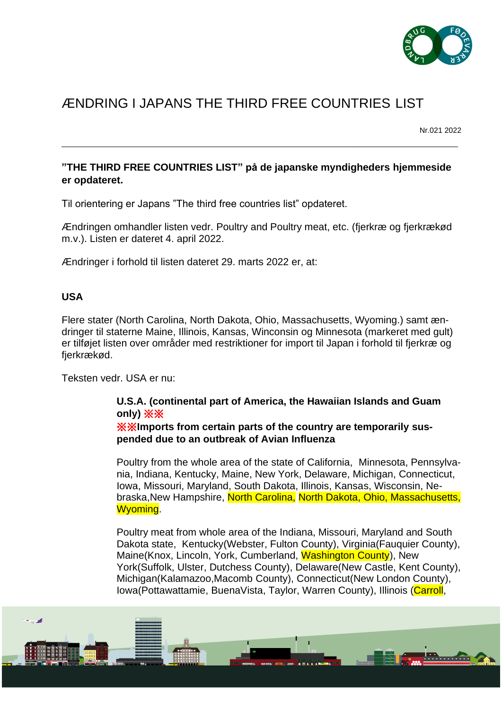

# ÆNDRING I JAPANS THE THIRD FREE COUNTRIES LIST

Nr.021 2022

### **"THE THIRD FREE COUNTRIES LIST" på de japanske myndigheders hjemmeside er opdateret.**

\_\_\_\_\_\_\_\_\_\_\_\_\_\_\_\_\_\_\_\_\_\_\_\_\_\_\_\_\_\_\_\_\_\_\_\_\_\_\_\_\_\_\_\_\_\_\_\_\_\_\_\_\_\_\_\_\_\_\_\_\_\_\_\_\_\_\_\_\_\_\_\_\_\_\_\_\_\_\_\_\_\_\_\_\_\_\_\_\_\_\_\_\_\_

Til orientering er Japans "The third free countries list" opdateret.

Ændringen omhandler listen vedr. Poultry and Poultry meat, etc. (fjerkræ og fjerkrækød m.v.). Listen er dateret 4. april 2022.

Ændringer i forhold til listen dateret 29. marts 2022 er, at:

#### **USA**

Flere stater (North Carolina, North Dakota, Ohio, Massachusetts, Wyoming.) samt ændringer til staterne Maine, Illinois, Kansas, Winconsin og Minnesota (markeret med gult) er tilføjet listen over områder med restriktioner for import til Japan i forhold til fjerkræ og fierkrækød.

Teksten vedr. USA er nu:

## **U.S.A. (continental part of America, the Hawaiian Islands and Guam only)** ※※

#### ※※**Imports from certain parts of the country are temporarily suspended due to an outbreak of Avian Influenza**

Poultry from the whole area of the state of California, Minnesota, Pennsylvania, Indiana, Kentucky, Maine, New York, Delaware, Michigan, Connecticut, Iowa, Missouri, Maryland, South Dakota, Illinois, Kansas, Wisconsin, Nebraska,New Hampshire, North Carolina, North Dakota, Ohio, Massachusetts, Wyoming.

Poultry meat from whole area of the Indiana, Missouri, Maryland and South Dakota state, Kentucky(Webster, Fulton County), Virginia(Fauquier County), Maine(Knox, Lincoln, York, Cumberland, Washington County), New York(Suffolk, Ulster, Dutchess County), Delaware(New Castle, Kent County), Michigan(Kalamazoo,Macomb County), Connecticut(New London County), Iowa(Pottawattamie, BuenaVista, Taylor, Warren County), Illinois (Carroll,